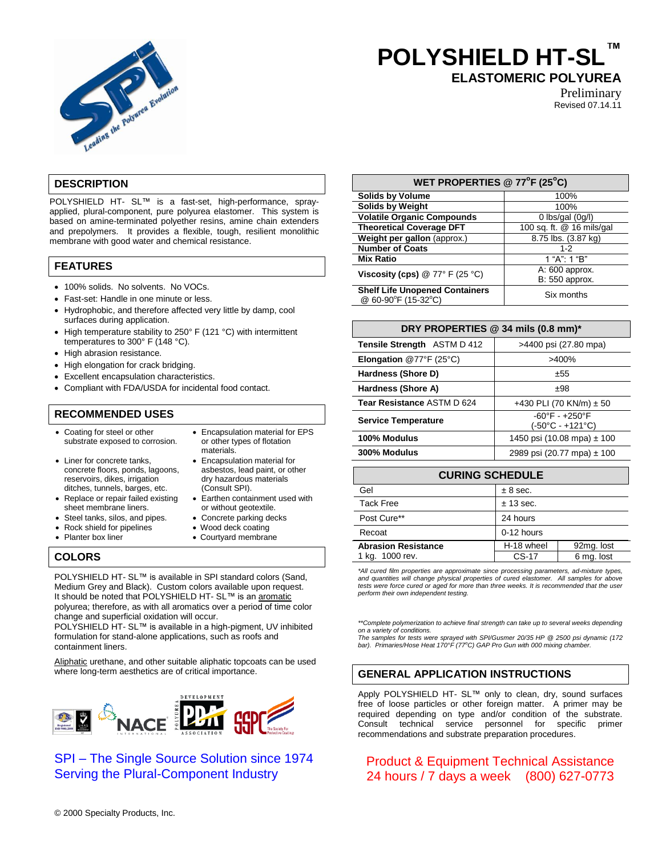

# **POLYSHIELD HT-SL™**

**ELASTOMERIC POLYUREA**

Preliminary Revised 07.14.11

# **DESCRIPTION**

POLYSHIELD HT- SL™ is a fast-set, high-performance, sprayapplied, plural-component, pure polyurea elastomer. This system is based on amine-terminated polyether resins, amine chain extenders and prepolymers. It provides a flexible, tough, resilient monolithic membrane with good water and chemical resistance.

# **FEATURES**

- 100% solids. No solvents. No VOCs.
- Fast-set: Handle in one minute or less.
- Hydrophobic, and therefore affected very little by damp, cool surfaces during application.
- High temperature stability to 250° F (121 °C) with intermittent temperatures to 300° F (148 °C).
- High abrasion resistance.
- High elongation for crack bridging.
- Excellent encapsulation characteristics.
- Compliant with FDA/USDA for incidental food contact.

# **RECOMMENDED USES**

- Coating for steel or other substrate exposed to corrosion.
- Liner for concrete tanks. concrete floors, ponds, lagoons, reservoirs, dikes, irrigation ditches, tunnels, barges, etc.
- Replace or repair failed existing
- sheet membrane liners. • Steel tanks, silos, and pipes. • Concrete parking decks
- Rock shield for pipelines Wood deck coating
- 
- Encapsulation material for EPS or other types of flotation materials. Encapsulation material for
- asbestos, lead paint, or other dry hazardous materials (Consult SPI).
- Earthen containment used with or without geotextile.
- 
- 
- Planter box liner **COULT COULTER 1999** Courtyard membrane

## **COLORS**

POLYSHIELD HT- SL™ is available in SPI standard colors (Sand, Medium Grey and Black). Custom colors available upon request. It should be noted that POLYSHIELD HT- SL™ is an aromatic polyurea; therefore, as with all aromatics over a period of time color change and superficial oxidation will occur.

POLYSHIELD HT- SL™ is available in a high-pigment, UV inhibited formulation for stand-alone applications, such as roofs and containment liners.

Aliphatic urethane, and other suitable aliphatic topcoats can be used where long-term aesthetics are of critical importance.



# SPI – The Single Source Solution since 1974 Serving the Plural-Component Industry

| WET PROPERTIES @ 77°F (25°C)                                 |                           |  |  |
|--------------------------------------------------------------|---------------------------|--|--|
| <b>Solids by Volume</b>                                      | 100%                      |  |  |
| <b>Solids by Weight</b>                                      | 100%                      |  |  |
| <b>Volatile Organic Compounds</b>                            | 0 lbs/gal $(0g/l)$        |  |  |
| <b>Theoretical Coverage DFT</b>                              | 100 sq. ft. @ 16 mils/gal |  |  |
| Weight per gallon (approx.)                                  | 8.75 lbs. (3.87 kg)       |  |  |
| <b>Number of Coats</b>                                       | $1 - 2$                   |  |  |
| <b>Mix Ratio</b>                                             | 1 "A": $1$ "B"            |  |  |
| Viscosity (cps) $@ 77° F (25 °C)$                            | A: 600 approx.            |  |  |
|                                                              | B: 550 approx.            |  |  |
| <b>Shelf Life Unopened Containers</b><br>@ 60-90°F (15-32°C) | Six months                |  |  |

| DRY PROPERTIES @ 34 mils (0.8 mm)* |                                                    |  |
|------------------------------------|----------------------------------------------------|--|
| Tensile Strength ASTM D 412        | >4400 psi (27.80 mpa)                              |  |
| <b>Elongation @77°F (25°C)</b>     | >400%                                              |  |
| Hardness (Shore D)                 | ±55                                                |  |
| Hardness (Shore A)                 | ±98                                                |  |
| Tear Resistance ASTM D 624         | +430 PLI (70 KN/m) $\pm$ 50                        |  |
| <b>Service Temperature</b>         | $-60^{\circ}F - +250^{\circ}F$<br>(-50°C - +121°C) |  |
| 100% Modulus                       | 1450 psi (10.08 mpa) $\pm$ 100                     |  |
| 300% Modulus                       | 2989 psi (20.77 mpa) ± 100                         |  |

| <b>CURING SCHEDULE</b>     |            |            |  |
|----------------------------|------------|------------|--|
| Gel                        | $± 8$ sec. |            |  |
| <b>Tack Free</b>           | ± 13 sec.  |            |  |
| Post Cure**                | 24 hours   |            |  |
| Recoat                     | 0-12 hours |            |  |
| <b>Abrasion Resistance</b> | H-18 wheel | 92mg. lost |  |
| 1 kg. 1000 rev.            | $CS-17$    | 6 mg. lost |  |

*\*All cured film properties are approximate since processing parameters, ad-mixture types,* and quantities will change physical properties of cured elastomer. All samples for above<br>tests were force cured or aged for more than three weeks. It is recommended that the user *perform their own independent testing.*

*\*\*Complete polymerization to achieve final strength can take up to several weeks depending on a variety of conditions. The samples for tests were sprayed with SPI/Gusmer 20/35 HP @ 2500 psi dynamic (172* 

*bar). Primaries/Hose Heat 170°F (77<sup>o</sup>C) GAP Pro Gun with 000 mixing chamber.*

## **GENERAL APPLICATION INSTRUCTIONS**

Apply POLYSHIELD HT- SL™ only to clean, dry, sound surfaces free of loose particles or other foreign matter. A primer may be required depending on type and/or condition of the substrate. Consult technical service personnel for specific primer recommendations and substrate preparation procedures.

# Product & Equipment Technical Assistance 24 hours / 7 days a week (800) 627-0773